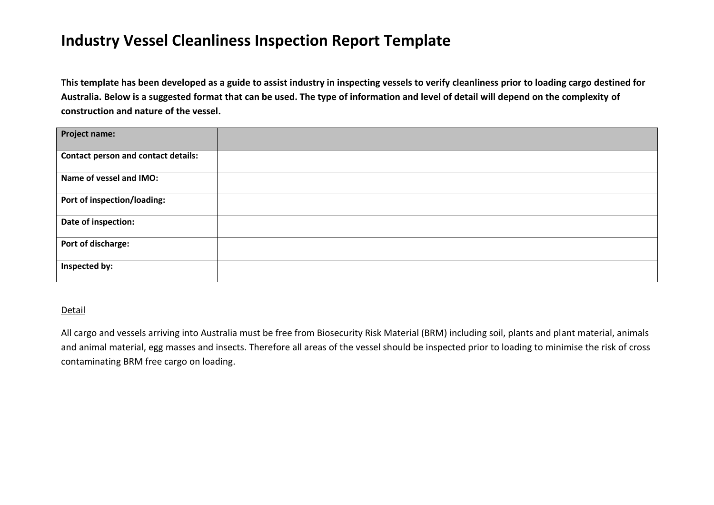## **Industry Vessel Cleanliness Inspection Report Template**

**This template has been developed as a guide to assist industry in inspecting vessels to verify cleanliness prior to loading cargo destined for Australia. Below is a suggested format that can be used. The type of information and level of detail will depend on the complexity of construction and nature of the vessel.**

| <b>Project name:</b>                       |  |
|--------------------------------------------|--|
| <b>Contact person and contact details:</b> |  |
| Name of vessel and IMO:                    |  |
| Port of inspection/loading:                |  |
| Date of inspection:                        |  |
| Port of discharge:                         |  |
| Inspected by:                              |  |

## Detail

All cargo and vessels arriving into Australia must be free from Biosecurity Risk Material (BRM) including soil, plants and plant material, animals and animal material, egg masses and insects. Therefore all areas of the vessel should be inspected prior to loading to minimise the risk of cross contaminating BRM free cargo on loading.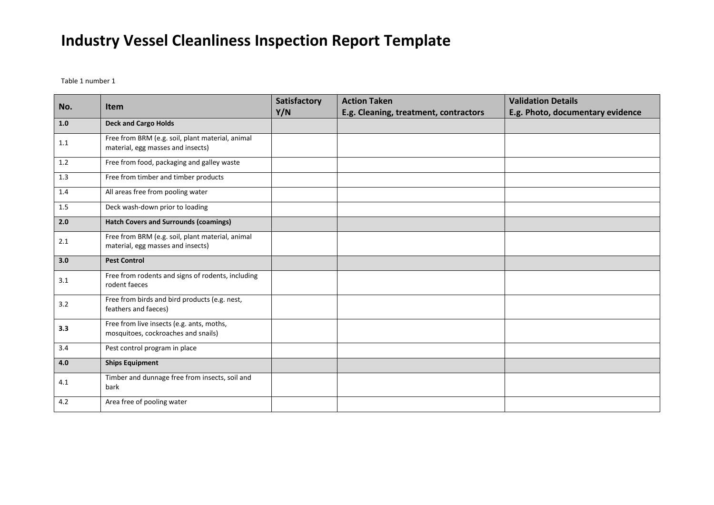## **Industry Vessel Cleanliness Inspection Report Template**

Table 1 number 1

| No. | <b>Item</b>                                                                           | Satisfactory<br>Y/N | <b>Action Taken</b><br>E.g. Cleaning, treatment, contractors | <b>Validation Details</b><br>E.g. Photo, documentary evidence |
|-----|---------------------------------------------------------------------------------------|---------------------|--------------------------------------------------------------|---------------------------------------------------------------|
| 1.0 | <b>Deck and Cargo Holds</b>                                                           |                     |                                                              |                                                               |
| 1.1 | Free from BRM (e.g. soil, plant material, animal<br>material, egg masses and insects) |                     |                                                              |                                                               |
| 1.2 | Free from food, packaging and galley waste                                            |                     |                                                              |                                                               |
| 1.3 | Free from timber and timber products                                                  |                     |                                                              |                                                               |
| 1.4 | All areas free from pooling water                                                     |                     |                                                              |                                                               |
| 1.5 | Deck wash-down prior to loading                                                       |                     |                                                              |                                                               |
| 2.0 | <b>Hatch Covers and Surrounds (coamings)</b>                                          |                     |                                                              |                                                               |
| 2.1 | Free from BRM (e.g. soil, plant material, animal<br>material, egg masses and insects) |                     |                                                              |                                                               |
| 3.0 | <b>Pest Control</b>                                                                   |                     |                                                              |                                                               |
| 3.1 | Free from rodents and signs of rodents, including<br>rodent faeces                    |                     |                                                              |                                                               |
| 3.2 | Free from birds and bird products (e.g. nest,<br>feathers and faeces)                 |                     |                                                              |                                                               |
| 3.3 | Free from live insects (e.g. ants, moths,<br>mosquitoes, cockroaches and snails)      |                     |                                                              |                                                               |
| 3.4 | Pest control program in place                                                         |                     |                                                              |                                                               |
| 4.0 | <b>Ships Equipment</b>                                                                |                     |                                                              |                                                               |
| 4.1 | Timber and dunnage free from insects, soil and<br>bark                                |                     |                                                              |                                                               |
| 4.2 | Area free of pooling water                                                            |                     |                                                              |                                                               |